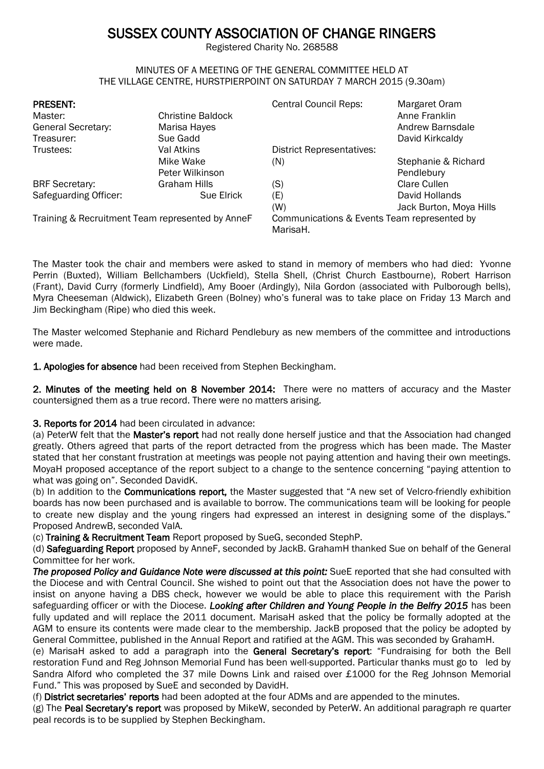# SUSSEX COUNTY ASSOCIATION OF CHANGE RINGERS

Registered Charity No. 268588

#### MINUTES OF A MEETING OF THE GENERAL COMMITTEE HELD AT THE VILLAGE CENTRE, HURSTPIERPOINT ON SATURDAY 7 MARCH 2015 (9.30am)

| <b>PRESENT:</b><br>Master:<br><b>General Secretary:</b><br>Treasurer: | <b>Christine Baldock</b><br>Marisa Hayes<br>Sue Gadd | <b>Central Council Reps:</b>                            | Margaret Oram<br>Anne Franklin<br>Andrew Barnsdale<br>David Kirkcaldy |
|-----------------------------------------------------------------------|------------------------------------------------------|---------------------------------------------------------|-----------------------------------------------------------------------|
| Trustees:                                                             | Val Atkins                                           | <b>District Representatives:</b>                        |                                                                       |
|                                                                       | Mike Wake                                            | (N)                                                     | Stephanie & Richard                                                   |
|                                                                       | Peter Wilkinson                                      |                                                         | Pendlebury                                                            |
| <b>BRF</b> Secretary:                                                 | Graham Hills                                         | (S)                                                     | Clare Cullen                                                          |
| Safeguarding Officer:                                                 | Sue Elrick                                           | (E)                                                     | David Hollands                                                        |
|                                                                       |                                                      | (W)                                                     | Jack Burton, Moya Hills                                               |
| Training & Recruitment Team represented by AnneF                      |                                                      | Communications & Events Team represented by<br>MarisaH. |                                                                       |

The Master took the chair and members were asked to stand in memory of members who had died: Yvonne Perrin (Buxted), William Bellchambers (Uckfield), Stella Shell, (Christ Church Eastbourne), Robert Harrison (Frant), David Curry (formerly Lindfield), Amy Booer (Ardingly), Nila Gordon (associated with Pulborough bells), Myra Cheeseman (Aldwick), Elizabeth Green (Bolney) who's funeral was to take place on Friday 13 March and Jim Beckingham (Ripe) who died this week.

The Master welcomed Stephanie and Richard Pendlebury as new members of the committee and introductions were made.

1. Apologies for absence had been received from Stephen Beckingham.

2. Minutes of the meeting held on 8 November 2014: There were no matters of accuracy and the Master countersigned them as a true record. There were no matters arising.

# 3. Reports for 2014 had been circulated in advance:

(a) PeterW felt that the Master's report had not really done herself justice and that the Association had changed greatly. Others agreed that parts of the report detracted from the progress which has been made. The Master stated that her constant frustration at meetings was people not paying attention and having their own meetings. MoyaH proposed acceptance of the report subject to a change to the sentence concerning "paying attention to what was going on". Seconded DavidK.

(b) In addition to the Communications report, the Master suggested that "A new set of Velcro-friendly exhibition boards has now been purchased and is available to borrow. The communications team will be looking for people to create new display and the young ringers had expressed an interest in designing some of the displays." Proposed AndrewB, seconded ValA.

(c) Training & Recruitment Team Report proposed by SueG, seconded StephP.

(d) Safeguarding Report proposed by AnneF, seconded by JackB. GrahamH thanked Sue on behalf of the General Committee for her work.

*The proposed Policy and Guidance Note were discussed at this point:* SueE reported that she had consulted with the Diocese and with Central Council. She wished to point out that the Association does not have the power to insist on anyone having a DBS check, however we would be able to place this requirement with the Parish safeguarding officer or with the Diocese. *Looking after Children and Young People in the Belfry 2015* has been fully updated and will replace the 2011 document. MarisaH asked that the policy be formally adopted at the AGM to ensure its contents were made clear to the membership. JackB proposed that the policy be adopted by General Committee, published in the Annual Report and ratified at the AGM. This was seconded by GrahamH.

(e) MarisaH asked to add a paragraph into the General Secretary's report: "Fundraising for both the Bell restoration Fund and Reg Johnson Memorial Fund has been well-supported. Particular thanks must go to led by Sandra Alford who completed the 37 mile Downs Link and raised over £1000 for the Reg Johnson Memorial Fund." This was proposed by SueE and seconded by DavidH.

(f) District secretaries' reports had been adopted at the four ADMs and are appended to the minutes.

(g) The Peal Secretary's report was proposed by MikeW, seconded by PeterW. An additional paragraph re quarter peal records is to be supplied by Stephen Beckingham.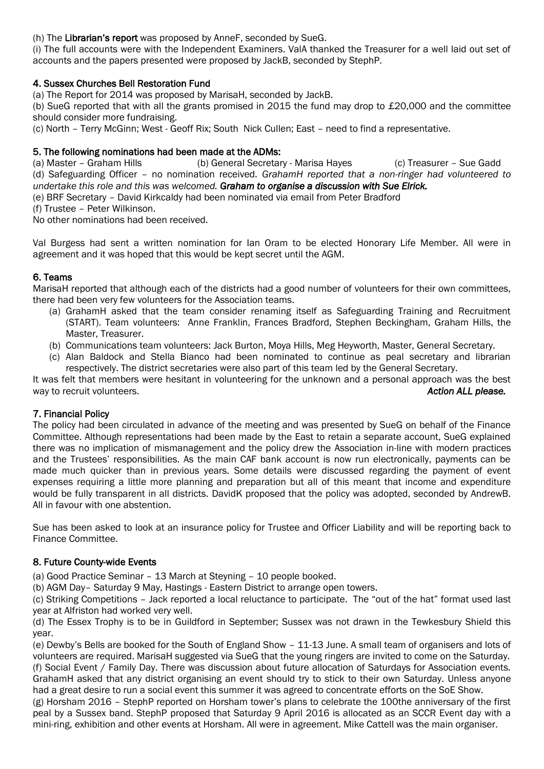# (h) The Librarian's report was proposed by AnneF, seconded by SueG.

(i) The full accounts were with the Independent Examiners. ValA thanked the Treasurer for a well laid out set of accounts and the papers presented were proposed by JackB, seconded by StephP.

# 4. Sussex Churches Bell Restoration Fund

(a) The Report for 2014 was proposed by MarisaH, seconded by JackB.

(b) SueG reported that with all the grants promised in 2015 the fund may drop to £20,000 and the committee should consider more fundraising.

(c) North – Terry McGinn; West - Geoff Rix; South Nick Cullen; East – need to find a representative.

## 5. The following nominations had been made at the ADMs:

(a) Master – Graham Hills (b) General Secretary - Marisa Hayes (c) Treasurer – Sue Gadd (d) Safeguarding Officer – no nomination received*. GrahamH reported that a non-ringer had volunteered to undertake this role and this was welcomed. Graham to organise a discussion with Sue Elrick.*

(e) BRF Secretary – David Kirkcaldy had been nominated via email from Peter Bradford

(f) Trustee – Peter Wilkinson.

No other nominations had been received.

Val Burgess had sent a written nomination for Ian Oram to be elected Honorary Life Member. All were in agreement and it was hoped that this would be kept secret until the AGM.

## 6. Teams

MarisaH reported that although each of the districts had a good number of volunteers for their own committees, there had been very few volunteers for the Association teams.

- (a) GrahamH asked that the team consider renaming itself as Safeguarding Training and Recruitment (START). Team volunteers: Anne Franklin, Frances Bradford, Stephen Beckingham, Graham Hills, the Master, Treasurer.
- (b) Communications team volunteers: Jack Burton, Moya Hills, Meg Heyworth, Master, General Secretary.
- (c) Alan Baldock and Stella Bianco had been nominated to continue as peal secretary and librarian respectively. The district secretaries were also part of this team led by the General Secretary.

It was felt that members were hesitant in volunteering for the unknown and a personal approach was the best way to recruit volunteers. *Action ALL please.*

#### 7. Financial Policy

The policy had been circulated in advance of the meeting and was presented by SueG on behalf of the Finance Committee. Although representations had been made by the East to retain a separate account, SueG explained there was no implication of mismanagement and the policy drew the Association in-line with modern practices and the Trustees' responsibilities. As the main CAF bank account is now run electronically, payments can be made much quicker than in previous years. Some details were discussed regarding the payment of event expenses requiring a little more planning and preparation but all of this meant that income and expenditure would be fully transparent in all districts. DavidK proposed that the policy was adopted, seconded by AndrewB. All in favour with one abstention.

Sue has been asked to look at an insurance policy for Trustee and Officer Liability and will be reporting back to Finance Committee.

#### 8. Future County-wide Events

(a) Good Practice Seminar – 13 March at Steyning – 10 people booked.

(b) AGM Day– Saturday 9 May, Hastings - Eastern District to arrange open towers.

(c) Striking Competitions – Jack reported a local reluctance to participate. The "out of the hat" format used last year at Alfriston had worked very well.

(d) The Essex Trophy is to be in Guildford in September; Sussex was not drawn in the Tewkesbury Shield this year.

(e) Dewby's Bells are booked for the South of England Show – 11-13 June. A small team of organisers and lots of volunteers are required. MarisaH suggested via SueG that the young ringers are invited to come on the Saturday. (f) Social Event / Family Day. There was discussion about future allocation of Saturdays for Association events. GrahamH asked that any district organising an event should try to stick to their own Saturday. Unless anyone had a great desire to run a social event this summer it was agreed to concentrate efforts on the SoE Show.

(g) Horsham 2016 – StephP reported on Horsham tower's plans to celebrate the 100the anniversary of the first peal by a Sussex band. StephP proposed that Saturday 9 April 2016 is allocated as an SCCR Event day with a mini-ring, exhibition and other events at Horsham. All were in agreement. Mike Cattell was the main organiser.